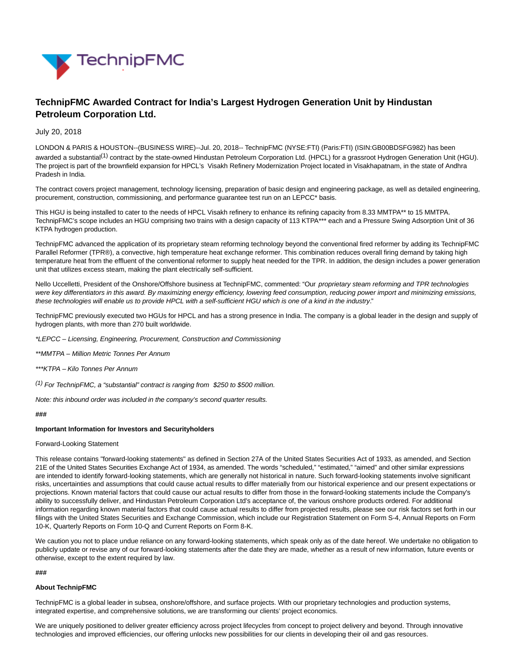

# **TechnipFMC Awarded Contract for India's Largest Hydrogen Generation Unit by Hindustan Petroleum Corporation Ltd.**

# July 20, 2018

LONDON & PARIS & HOUSTON--(BUSINESS WIRE)--Jul. 20, 2018-- TechnipFMC (NYSE:FTI) (Paris:FTI) (ISIN:GB00BDSFG982) has been awarded a substantial<sup>(1)</sup> contract by the state-owned Hindustan Petroleum Corporation Ltd. (HPCL) for a grassroot Hydrogen Generation Unit (HGU). The project is part of the brownfield expansion for HPCL's Visakh Refinery Modernization Project located in Visakhapatnam, in the state of Andhra Pradesh in India.

The contract covers project management, technology licensing, preparation of basic design and engineering package, as well as detailed engineering, procurement, construction, commissioning, and performance guarantee test run on an LEPCC\* basis.

This HGU is being installed to cater to the needs of HPCL Visakh refinery to enhance its refining capacity from 8.33 MMTPA\*\* to 15 MMTPA. TechnipFMC's scope includes an HGU comprising two trains with a design capacity of 113 KTPA\*\*\* each and a Pressure Swing Adsorption Unit of 36 KTPA hydrogen production.

TechnipFMC advanced the application of its proprietary steam reforming technology beyond the conventional fired reformer by adding its TechnipFMC Parallel Reformer (TPR®), a convective, high temperature heat exchange reformer. This combination reduces overall firing demand by taking high temperature heat from the effluent of the conventional reformer to supply heat needed for the TPR. In addition, the design includes a power generation unit that utilizes excess steam, making the plant electrically self-sufficient.

Nello Uccelletti, President of the Onshore/Offshore business at TechnipFMC, commented: "Our proprietary steam reforming and TPR technologies were key differentiators in this award. By maximizing energy efficiency, lowering feed consumption, reducing power import and minimizing emissions, these technologies will enable us to provide HPCL with a self-sufficient HGU which is one of a kind in the industry."

TechnipFMC previously executed two HGUs for HPCL and has a strong presence in India. The company is a global leader in the design and supply of hydrogen plants, with more than 270 built worldwide.

\*LEPCC – Licensing, Engineering, Procurement, Construction and Commissioning

- \*\*MMTPA Million Metric Tonnes Per Annum
- \*\*\*KTPA Kilo Tonnes Per Annum
- $(1)$  For TechnipFMC, a "substantial" contract is ranging from \$250 to \$500 million.

Note: this inbound order was included in the company's second quarter results.

# **###**

### **Important Information for Investors and Securityholders**

### Forward-Looking Statement

This release contains "forward-looking statements" as defined in Section 27A of the United States Securities Act of 1933, as amended, and Section 21E of the United States Securities Exchange Act of 1934, as amended. The words "scheduled," "estimated," "aimed" and other similar expressions are intended to identify forward-looking statements, which are generally not historical in nature. Such forward-looking statements involve significant risks, uncertainties and assumptions that could cause actual results to differ materially from our historical experience and our present expectations or projections. Known material factors that could cause our actual results to differ from those in the forward-looking statements include the Company's ability to successfully deliver, and Hindustan Petroleum Corporation Ltd's acceptance of, the various onshore products ordered. For additional information regarding known material factors that could cause actual results to differ from projected results, please see our risk factors set forth in our filings with the United States Securities and Exchange Commission, which include our Registration Statement on Form S-4, Annual Reports on Form 10-K, Quarterly Reports on Form 10-Q and Current Reports on Form 8-K.

We caution you not to place undue reliance on any forward-looking statements, which speak only as of the date hereof. We undertake no obligation to publicly update or revise any of our forward-looking statements after the date they are made, whether as a result of new information, future events or otherwise, except to the extent required by law.

### **###**

# **About TechnipFMC**

TechnipFMC is a global leader in subsea, onshore/offshore, and surface projects. With our proprietary technologies and production systems, integrated expertise, and comprehensive solutions, we are transforming our clients' project economics.

We are uniquely positioned to deliver greater efficiency across project lifecycles from concept to project delivery and beyond. Through innovative technologies and improved efficiencies, our offering unlocks new possibilities for our clients in developing their oil and gas resources.